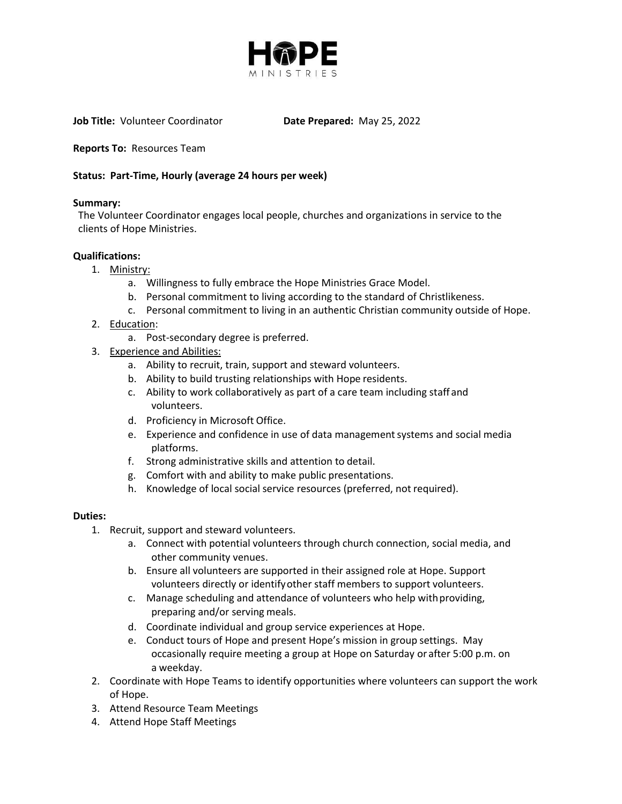

**Job Title:** Volunteer Coordinator **Date Prepared:** May 25, 2022

**Reports To:** Resources Team

## **Status: Part-Time, Hourly (average 24 hours per week)**

#### **Summary:**

The Volunteer Coordinator engages local people, churches and organizations in service to the clients of Hope Ministries.

#### **Qualifications:**

- 1. Ministry:
	- a. Willingness to fully embrace the Hope Ministries Grace Model.
	- b. Personal commitment to living according to the standard of Christlikeness.
	- c. Personal commitment to living in an authentic Christian community outside of Hope.
- 2. Education:
	- a. Post-secondary degree is preferred.
- 3. Experience and Abilities:
	- a. Ability to recruit, train, support and steward volunteers.
	- b. Ability to build trusting relationships with Hope residents.
	- c. Ability to work collaboratively as part of a care team including staff and volunteers.
	- d. Proficiency in Microsoft Office.
	- e. Experience and confidence in use of data managementsystems and social media platforms.
	- f. Strong administrative skills and attention to detail.
	- g. Comfort with and ability to make public presentations.
	- h. Knowledge of local social service resources (preferred, not required).

### **Duties:**

- 1. Recruit, support and steward volunteers.
	- a. Connect with potential volunteers through church connection, social media, and other community venues.
	- b. Ensure all volunteers are supported in their assigned role at Hope. Support volunteers directly or identifyother staff members to support volunteers.
	- c. Manage scheduling and attendance of volunteers who help withproviding, preparing and/or serving meals.
	- d. Coordinate individual and group service experiences at Hope.
	- e. Conduct tours of Hope and present Hope's mission in group settings. May occasionally require meeting a group at Hope on Saturday or after 5:00 p.m. on a weekday.
- 2. Coordinate with Hope Teams to identify opportunities where volunteers can support the work of Hope.
- 3. Attend Resource Team Meetings
- 4. Attend Hope Staff Meetings